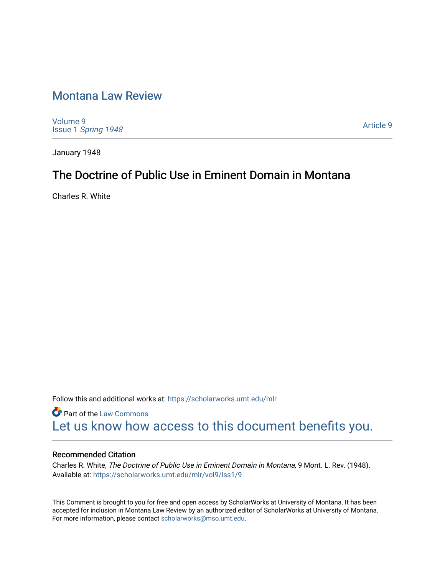# [Montana Law Review](https://scholarworks.umt.edu/mlr)

[Volume 9](https://scholarworks.umt.edu/mlr/vol9) Issue 1 [Spring 1948](https://scholarworks.umt.edu/mlr/vol9/iss1) 

[Article 9](https://scholarworks.umt.edu/mlr/vol9/iss1/9) 

January 1948

# The Doctrine of Public Use in Eminent Domain in Montana

Charles R. White

Follow this and additional works at: [https://scholarworks.umt.edu/mlr](https://scholarworks.umt.edu/mlr?utm_source=scholarworks.umt.edu%2Fmlr%2Fvol9%2Fiss1%2F9&utm_medium=PDF&utm_campaign=PDFCoverPages) 

**Part of the [Law Commons](http://network.bepress.com/hgg/discipline/578?utm_source=scholarworks.umt.edu%2Fmlr%2Fvol9%2Fiss1%2F9&utm_medium=PDF&utm_campaign=PDFCoverPages)** [Let us know how access to this document benefits you.](https://goo.gl/forms/s2rGfXOLzz71qgsB2) 

# Recommended Citation

Charles R. White, The Doctrine of Public Use in Eminent Domain in Montana, 9 Mont. L. Rev. (1948). Available at: [https://scholarworks.umt.edu/mlr/vol9/iss1/9](https://scholarworks.umt.edu/mlr/vol9/iss1/9?utm_source=scholarworks.umt.edu%2Fmlr%2Fvol9%2Fiss1%2F9&utm_medium=PDF&utm_campaign=PDFCoverPages)

This Comment is brought to you for free and open access by ScholarWorks at University of Montana. It has been accepted for inclusion in Montana Law Review by an authorized editor of ScholarWorks at University of Montana. For more information, please contact [scholarworks@mso.umt.edu.](mailto:scholarworks@mso.umt.edu)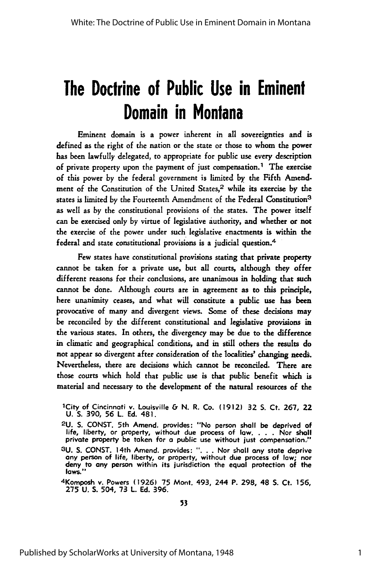# **The Doctrine of Public Use in Eminent Domain in Montana**

Eminent domain is a power inherent in all sovereignties and is defined as the right of the nation or the state or those to whom the power has been lawfully delegated, to appropriate for public use every description of private property upon the payment of just compensation.<sup>1</sup> The exercise of this power by the federal government is limited **by** the Fifth Amendment of the Constitution of the United States,2 while its exercise **by** the states is limited by the Fourteenth Amendment of the Federal Constitution<sup>3</sup> as well as by the constitutional provisions of the states. The power itself can be exercised only by virtue of legislative authority, and whether or not the exercise of the power under such legislative enactments is within the federal and state constitutional provisions is a judicial question. <sup>4</sup>

Few states have constitutional provisions stating that private property cannot be taken for a private use, but all courts, although they offer different reasons for their conclusions, are unanimous in holding that such cannot be done. Although courts are in agreement as to this principle, here unanimity ceases, and what will constitute a public use has been provocative of many and divergent views. Some of these decisions may be reconciled by the different constitutional and legislative provisions in the various states. In others, the divergency may be due to the difference in climatic and geographical conditions, and in still others the results do not appear so divergent after consideration of the localities' changing needs. Nevertheless, there are decisions which cannot be reconciled. There are those courts which hold that public use is that public benefit which is material and necessary to the development of the natural resources of the

3U. S. CONST. 14th Amend. provides: ". . . Nor shall any state deprive any person of life, liberty, or property, without due process of law; nor deny to any person within its jurisdiction the equal protection of the **laws."**

4 Komposh v. Powers **(1926)** 75 Mont. 493, 244 P. **298,** 48 **S.** Ct. **156, 275 U.** S. 504, **73** L. **Ed.** 396.

lCity of Cincinnati v. Louisville & **N.** R. Co. **(1912) 32 S.** Ct. **267,** 22 **U. S. 390, 56** L. **Ed.** 481.

**<sup>2</sup>U. S. CONST.** 5th Amend. provides: "No person shall be deprived of life, liberty, or property, without due process of **law. . . .** Nor shall private property be taken for **a** public use without just compensation." **<sup>3</sup> U. S. CONST.** 14th Amend. provides: **". . .** Nor shall any state deprive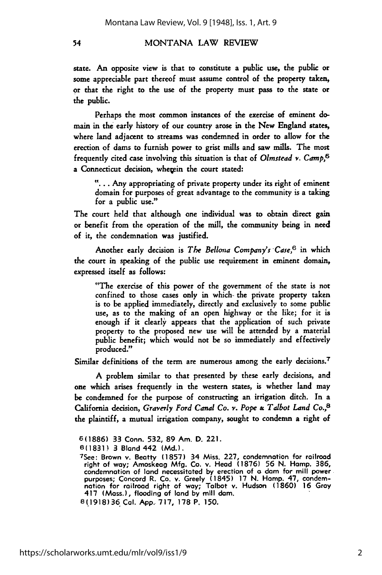state. An opposite view is that to constitute a public use, the public or some appreciable part thereof must assume control of the property taken, or that the right to the use of the property must pass to the state or the public.

Perhaps the most common instances of the exercise of eminent domain in the early history of our country arose in the New England states, where land adjacent to streams was condemned in order to allow for the erection of dams to furnish power to grist mills and saw mills. The most frequently cited case involving this situation is that of *Olmstead v. Camp,6* a Connecticut decision, whegein the court stated:

**"...** . Any appropriating of private property under its right of eminent domain for purposes of great advantage to the community is a taking for a public use."

The court held that although one individual was to obtain direct gain or benefit from the operation of the mill, the community being in need **of** it, the condemnation was justified.

Another early decision is *The Bellona Company's Case,6* in which the court in speaking of the public use requirement in eminent domain, expressed itself as follows:

"The exercise of this power of the government of the state is not confined to those cases only in which- the private property taken is to be applied immediately, directly and exclusively to some public use, as to the making of an open highway or the like; for it is enough if it clearly appears that the application of such private property to the proposed new use will be attended by a material public benefit; which would not be so immediately and effectively produced."

Similar definitions of the term are numerous among the early decisions.<sup>7</sup>

A problem similar to that presented by these early decisions, and one which arises frequently in the western states, is whether land may be condemned for the purpose of constructing an irrigation ditch. In a California decision, *Graverly Ford Canal Co. v. Pope* **&,** *Talbot Land Co.,8* the plaintiff, a mutual irrigation company, sought to condemn a right of

54

https://scholarworks.umt.edu/mlr/vol9/iss1/9

**<sup>6(1886)</sup> 33** Conn. **532,** 89 Am. **D.** 221.

**<sup>6(1831)</sup> 3** Bland 442 **(Md.).** 7See: Brown v. Beotty **(1857)** 34 Miss. **227,** condemnation for railroad right of way; Amoskeag **Mfg.** Co. v. Head **(1876) 56 N.** Homp. **386,** condemnation of land necessitated by erection of a dam for mill power<br>purposes; Concord R. Co. v. Greely (1845) 17 N. Hamp. 47, condemnation for railroad right of way; Talbot v. Hudson (1860) 16 Gray 417 (Mass.), flooding of land **by** mill dam. **8(1918)36 Cal. App." 717, 178** P. **150.**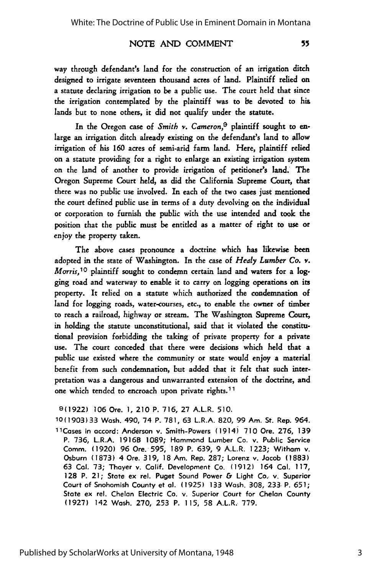55

## NOTE AND COMMENT

way through defendant's land for the construction of an irrigation ditch designed to irrigate seventeen thousand acres of land. Plaintiff relied on a statute declaring irrigation to be a public use. The court held that since the irrigation contemplated by the plaintiff was to be devoted to his lands but to none others, it did not qualify under the statute.

In the Oregon case of *Smith v. Cameron,9* plaintiff sought to enlarge an irrigation ditch already existing on the defendant's land to allow irrigation of his **160** acres of semi-arid farm land. Here, plaintiff relied on a statute providing for a right to enlarge an existing irrigation system on the land of another to provide irrigation of petitioner's land. The Oregon Supreme Court held, as did the California Supreme Court, that there was no public use involved. In each of the two cases just mentioned the court defined public use in terms of a duty devolving on the individual or corporation to furnish the public with the use intended and took the position that the public must be entitled as a matter of right to use or enjoy the property taken.

The above cases pronounce a doctrine which has likewise been adopted in the state of Washington. In the case of *Healy Lumber Co. v. Morris*,<sup>10</sup> plaintiff sought to condemn certain land and waters for a logging road and waterway to enable it to carry on logging operations on its property. It relied on a statute which authorized the condemnation of land for logging roads, water-courses, etc., to enable the owner of timber to reach a railroad, highway or stream. The Washington Supreme Court, in holding the statute unconstitutional, said that it violated the constitutional provision forbidding the taking of private property for a private use. The court conceded that there were decisions which held that a public use existed where the community or state would enjoy a material benefit from such condemnation, but added that it felt that such interpretation was a dangerous and unwarranted extension **of** the doctrine, and one which tended to encroach upon private rights.<sup>11</sup>

**9(1922) 106** Ore. **1,** 210 P. 716, **27** A.L.R. 510.

10(1903)33 Wash. 490, 74 P. 781, 63 L.R.A. 820, 99 Am. St. Rep. 964. 11Cases in accord: Anderson v. Smith-Powers (1914i **710** Ore. **276, 139** P. 736, L.R.A. **1916B** 1089; Hammond Lumber Co. v. Public Service Comm. **(1920)** 96 Ore. **595, 189** P. 639, 9 A.L.R. **1223;** Witham v. Osburn **(1873)** 4 Ore. **319, 18** Am. Rep. 287; Lorenz v. Jacob **(1883)** 63 Cal. 73; Thayer v. Calif. Development Co. **(1912)** 164 **Cal. 117, 128** P. 21; State ex rel. Puget Sound Power **&** Light Co.. v. Superior Court of Snohomish County et **al.** (1925) **133** Wash. **308,** 233 P. **651;** State ex rel. Chelan Electric Co. v. Superior Court for Chelan County (1927) 142 Wash. 270, 253 P. 115, 58 A.L.R. 779.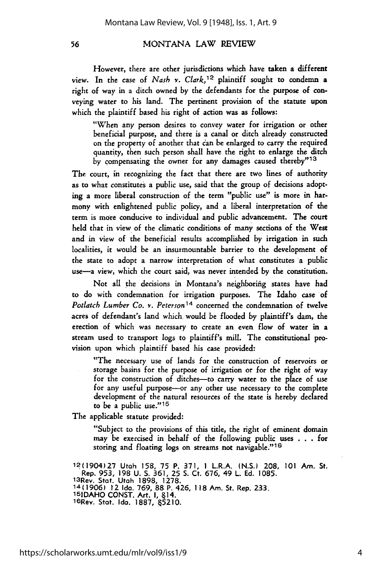However, there are other jurisdictions which have taken a different view. In the case of *Nash v. Clark,12* plaintiff sought to condemn a right of way in a ditch owned by the defendants for the purpose of conveying water to his land. The pertinent provision of the statute upon which the plaintiff based his right of action was as follows:

"When any person desires to convey water for irrigation or other beneficial purpose, and there is a canal or ditch already constructed on the property of another that can be enlarged to carry the required quantity, then such person shall have the right to enlarge the ditch by compensating the owner for any damages caused thereby"<sup>13</sup>

The court, in recognizing the fact that there are two lines of authority as to what constitutes a public use, said that the group of decisions adopting a more liberal construction of the term "public use" is more in harmony with enlightened public policy, and a liberal interpretation of the term is more conducive to individual and public advancement. The court held that in view of the climatic conditions of many sections of the West and in view of the beneficial results accomplished by irrigation in such localities, it would be an insurmountable barrier to the development of the state to adopt a narrow interpretation of what constitutes a public use-a view, which the court said, was never intended by the constitution.

Not all the decisions in Montana's neighboring states have had to do with condemnation for irrigation purposes. The Idaho case of *Potlatch Lumber Co. v. Peterson14* concerned the condemnation of twelve acres of defendant's land which would be flooded by plaintiff's dam, the erection of which was necessary to create an even flow of water in a stream used to transport logs to plaintiff's mill. The constitutional provision upon which plaintiff based his case provided:

"The necessary use of lands for the construction of reservoirs or storage basins for the purpose of irrigation or for the right of way for the construction of ditches--to carry water to the place of use for any useful purpose-or any other use necessary to the complete development of the natural resources of the state is hereby declared to be a public use."<sup>15</sup>

The applicable statute provided:

"Subject to the provisions of this title, the right of eminent domain may be exercised in behalf of the following public uses . . . for storing and floating logs on streams not navigable."<sup>16</sup>

12(1904)27 Utah 158, 75 P. **371, 1** L.R.A. (N.S.) 208, **101** Am. St. Rep. 953, 198 U. S. 361, 25 S. Ct. 676, 49 L. Ed. 1085. 1 <sup>3</sup> Rev. Stat. Utah 1898, 1278. **14(1906)** 12 Ida. 769, 88 P. 426, 118Am. St. Rep. 233. **151DAHO CONST.** Art. **I,** 14. 16Rev. Stat. **Ida. 1887,** 5210.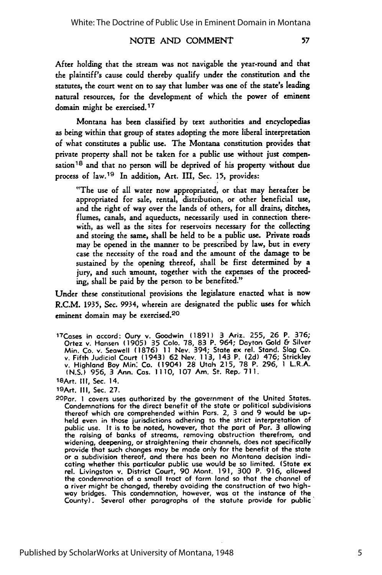#### NOTE AND COMMENT

After holding that the stream was not navigable the year-round and that the plaintiff's cause could thereby qualify under the constitution and the statutes, the court went on to say that lumber was one of the state's leading natural resources, for the development of which the power of eminent domain might be exercised. <sup>17</sup>

Montana has been classified by text authorities and encyclopedias as being within that group of states adopting the more liberal interpretation of what constitutes a public use. The Montana constitution provides that private property shall not be taken for a public use without just compensation 18 and that no person will be deprived of his property without due process of law. 19 In addition, Art. III, Sec. 15, provides:

"The use of all water now appropriated, or that may hereafter be appropriated for sale, rental, distribution, or other beneficial use, and the right of way over the lands of others, for all drains, ditches, flumes, canals, and aqueducts, necessarily used in connection therewith, as well as the sites for reservoirs necessary for the collecting and storing the same, shall be held to be a public use. Private roads may be opened in the manner to be prescribed by law, but in every case the necessity of the road and the amount of the damage to be sustained by the opening thereof, shall be first determined by a jury, and such amount, together with the expenses of the proceeding, shall be paid by the person to be benefited."

Under these constitutional provisions the legislature enacted what is now R.C.M. 1935, Sec. 9934, wherein are designated the public uses for which eminent domain may be exercised.<sup>20</sup>

1 <sup>7</sup> Cases in accord: Oury v. Goodwin **(1891)** 3 Ariz. 255, **26** P. **376;** Ortez v. Hansen **(1905) 35 Colo. 78, 83** P. 964; Dayton Gold & Silver Min. Co. v. Seowell **(1876) 11** Nev. 394; State ex rel. Stand. **Slag** Co. v. Fifth Judicial Court (1943) **62** Nev. **113,** 143 P. **(2d)** 476; Strickley v. Highland Boy **Min:** Co. (1904) **28** Utah **215, 78** P. **296,** 1 L.R.A. **(N.S.) 956,** 3 Ann. Cas. **I110, 107** Am. St. Rep. **711.** <sup>18</sup> Art. **III,** Sec. 14.

2 OPar. **I** covers uses authorized **by** the government of the United States. Condemnations for the direct benefit of the state or political subdivisions thereof which are comprehended within Pars. 2, **3** and 9 would be upheld even in those jurisdictions adhering to the strict interpretation of public use. It is to be noted, however, that the part of Par. **3** allowing the raising of banks of streams, removing obstruction therefrom, and widening, deepening, or straightening their channels, does not specifically provide that such changes may be made only for the benefit of the state or **a** subdivision thereof, and there has been no Montana decision indicating whether this particular public use would be so limited. (State ex rel. Livingston v. District Court, **90** Mont. **191, 300** P. **916,** allowed the condemnation of a small tract of farm land so that the channel of a river might be changed, thereby avoiding the construction of two highway bridges. This condemnation, however, was at the instance of the County). Several other paragraphs of the statute provide for public"

<sup>19</sup>Art. **III,** Sec. **27.**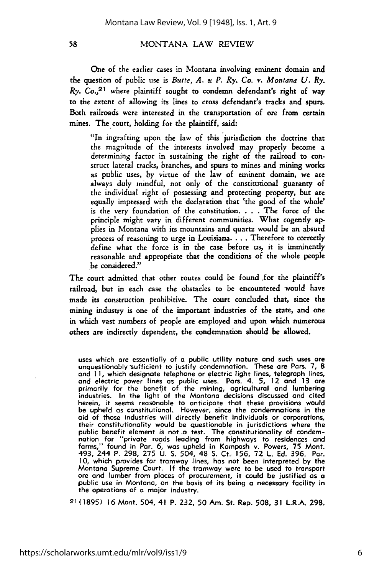One of the earlier cases in Montana involving eminent domain and the question of public use is *Butte, A.* **&** *P. Ry. Co. v. Montana U. Ry. Ry. Co.*<sup>21</sup> where plaintiff sought to condemn defendant's right of way to the extent of allowing its lines to cross defendant's tracks and spurs. Both railroads were interested in the transportation of ore from certain mines. The court, holding for the plaintiff, said:

"In ingrafting upon the law of this jurisdiction the doctrine that the magnitude of the interests involved may properly become a determining factor in sustaining the right of the railroad to construct lateral tracks, branches, and spurs to mines and mining works as public uses, by virtue of the law of eminent domain, we are always duly mindful, not only of the constitutional guaranty of the individual right of possessing and protecting property, but are equally impressed with the declaration that 'the good of the whole' is the very foundation of the constitution. . **.** . The force of the principle might vary in different communities. What cogently applies in Montana with its mountains and quartz would be an absurd process of reasoning to urge in Louisiana. . . . Therefore to correctly define what the force is in the case before us, it is imminently reasonable and appropriate that the conditions of the whole people be considered."

The court admitted that other routes could be found .for the plaintiff's railroad, but in each case the obstacles to be encountered would have made its construction prohibitive. The court concluded that, since the mining industry is one of the important industries of the state, and one in which vast numbers of people are employed and upon which numerous others are indirectly dependent, the condemnation should be allowed.

uses which are essentially of **a** public utility nature and such uses are unquestionably 'sufficient to justify condemnation. These are Pars. **7, 8** and **I1,** which designate telephone or electric light lines, telegraph lines, and electric power lines as public uses. Pars. 4. **5,** 12 and **13** are primarily for the benefit of the mining, agricultural and lumbering industries. In the light of the Montana decisions discussed and cited herein, it seems reasonable to anticipate that these provisions would be upheld as constitutional. However, since the condemnations in the aid of those industries will directly benefit individuals or corporations, their constitutionality would be questionable in jurisdictions where the public benefit element is not .a test. The constitutionality of condem-nation for "private roads leading from highways to residences and farms," found in Par. 6, was upheld in Komposh v. Powers, 75 Mont. 493, 244 P. 298, **275** U. **S.** 504, 48 **S.** Ct.. 156, **72** L. **Ed.** 396. Par. **10,** which provides for tramway lines, has not been interpreted **by** the Montana Supreme Court. **If** the tramway were to be used to transport ore and lumber from places of procurement, it could be justified as a public use in Montana, on the basis of its being a necessary facility in the operations of **a** major industry.

21 **(1895) 16** Mont. 504, 41 P. 232, 50 Am. St. Rep. 508, **31** L.R.A. **298.**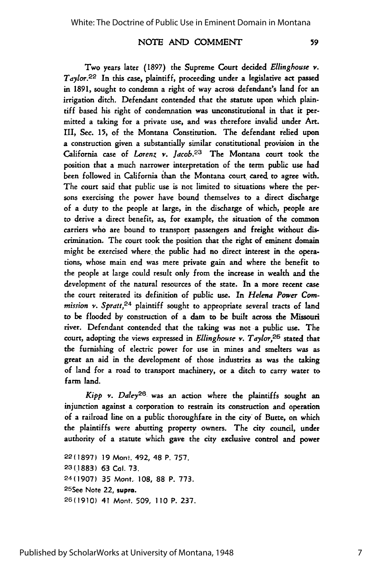## NOTE AND COMMENT

59

Two years later **(1897)** the Supreme Court decided *Ellinghouse v.* Taylor.<sup>22</sup> In this case, plaintiff, proceeding under a legislative act passed in 1891, sought to condemn a right of way across defendant's land for an irrigation ditch. Defendant contended that the statute upon which plaintiff based his right of condemnation was unconstitutional in that it permitted a taking for a private use, and was therefore invalid under Art. III, Sec. 15, of the Montana Constitution. The defendant relied upon a construction given a substantially similar constitutional provision in the California case of *Lorenz v. Jacob.23* The Montana court took the position that a much narrower interpretation of the term public use had been followed in California than the Montana court cared to agree with. The court said that public use is not limited to situations where the persons exercising the power have bound themselves to a direct discharge of a duty to the people at large, in the discharge of which, people are to derive a direct benefit, as, for example, the situation of the common carriers who are bound to transport passengers and freight without discrimination. The court took the position that the right of eminent domain might be exercised where, the public had no direct interest in the operations, whose main end was mere private gain and where the benefit to the people at large could result only from the increase in wealth and the development of the natural resources of the state. In a more recent case the court reiterated its definition of public use. In *Helena Power Commission v. Spratt,24* plaintiff sought to appropriate several tracts of land to be flooded by construction of a dam to be built across the Missouri river. Defendant contended that the taking was not a public use. The court, adopting the views expressed in *Ellingbouse v. Taylor,25* stated that the furnishing of electric power for use in mines and smelters was as great an aid in the development of those industries as was the taking of land for a road to transport machinery, or a ditch to carry water to farm land.

*Kipp v. Daley*<sup>26</sup> was an action where the plaintiffs sought an injunction against a corporation to restrain its construction and operation of a railroad line on a public thoroughfare in the city of Butte, on which the plaintiffs were abutting property owners. The city council, under authority of a statute which gave the city exclusive control and power

22 (1897) **19** Mont. 492, 48 P. **757. 23(1883) 63 Col. 73.** 24(1907) **35** Mont. 108, 88 P. 773. 2 5See Note 22, **supra. 26(1910)** 41 Mont. **509, 110** P. **237.**

Published by ScholarWorks at University of Montana, 1948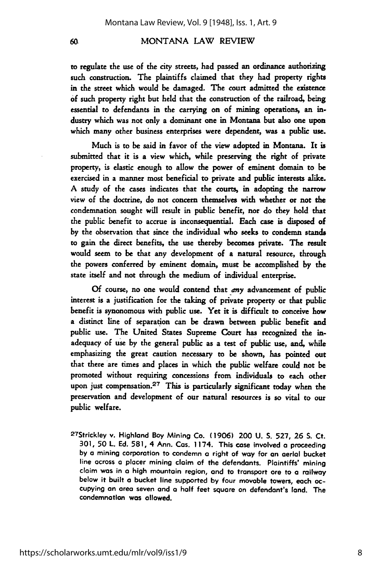to regulate the use of the city streets, had passed an ordinance authorizing such construction. The plaintiffs claimed that they had property rights in the street which would be damaged. The court admitted the existence **of** such property right but held that the construction of the railroad, being essential to defendants in the carrying on of mining operations, an industry which was not only a dominant one in Montana but also one upon which many other business enterprises were dependent, was a public use.

Much is to be said in favor of the view adopted in Montana. It is submitted that it is a view which, while preserving the right of private property, is elastic enough to allow the power of eminent domain to be exercised in a manner most beneficial to private and public interests alike. A study of the cases indicates that the courts, in adopting the narrow view of the doctrine, do not concern themselves with whether or not the condemnation sought will result in public benefit, nor do they hold that the public benefit to accrue is inconsequential. Each case is disposed of by the observation that since the individual who seeks to condemn stands to gain the direct benefits, the use thereby becomes private. The result would seem to be that any development of a natural resource, through the powers conferred by eminent domain, must be accomplished **by** the state itself and not through the medium of individual enterprise.

**Of** course, no one would contend that *any* advancement of public interest is a justification for the taking of private property or that public benefit is synonomous with public use. Yet **it** is difficult to conceive how a distinct line of separation can be drawn between public benefit and public use. The United States Supreme Court has recognized the inadequacy of use by the general public as a test of public use, and, while emphasizing the great caution necessary **to** be shown, has pointed out that there are times and places in which the public welfare could not be promoted without requiring concessions from individuals to each other upon just compensation.<sup>27</sup> This is particularly significant today when the preservation and development of our natural resources is so vital to our public welfare.

27Strickley v. Highland Boy Mining Co. **(1906)** 200 **U. S. 527, 26 S.** Ct. **301, 50** L. **Ed. 581,** 4 Ann. Cos. 1174. This case involved **a** proceeding **by a** mining corporation to condemn **a** right of way for an aerial bucket line across **a** placer mining claim of the defendants. Plaintiffs' mining claim was in **a** high mountain region, and to transport ore to a railway below it built **a** bucket line supported **by** four movable towers, each occupying an area seven and a half feet square on defendant's land. The condemnation was allowed.